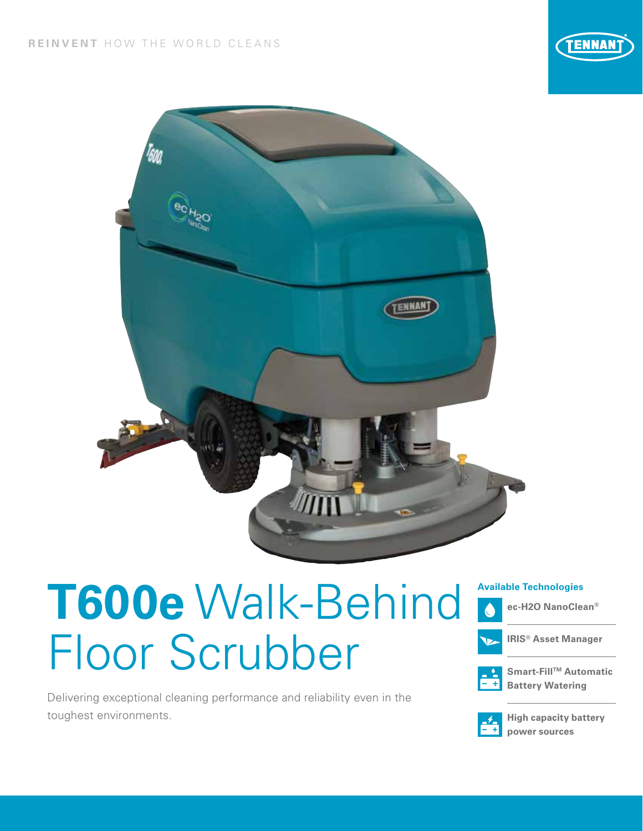



# **T600e** Walk-Behind Floor Scrubber

Delivering exceptional cleaning performance and reliability even in the toughest environments.

### **Available Technologies**





**IRIS® Asset Manager**



 $\mathbf C$ 

**Smart-FillTM Automatic Battery Watering**



**High capacity battery power sources**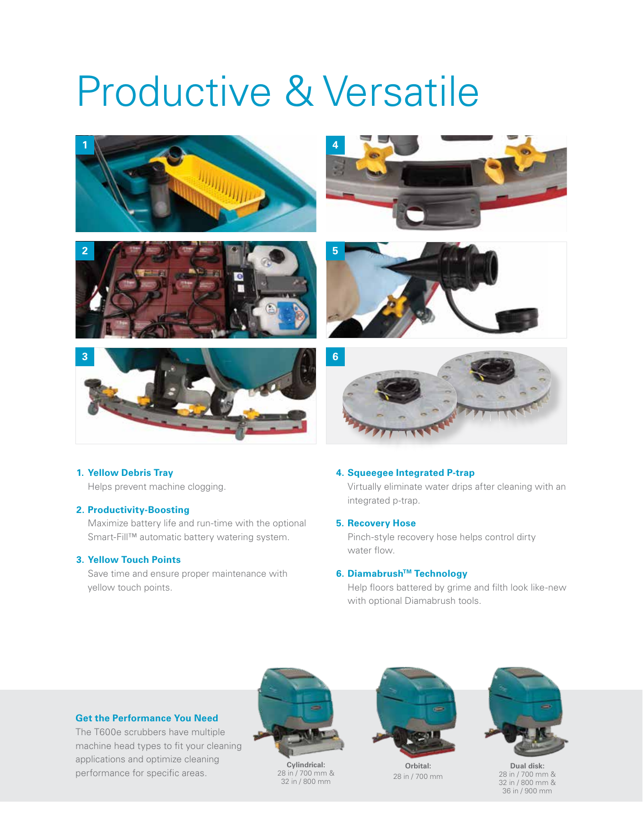# Productive & Versatile













#### **1. Yellow Debris Tray**

Helps prevent machine clogging.

#### **2. Productivity-Boosting**

Maximize battery life and run-time with the optional Smart-Fill™ automatic battery watering system.

### **3. Yellow Touch Points**

Save time and ensure proper maintenance with yellow touch points.

#### **4. Squeegee Integrated P-trap**

Virtually eliminate water drips after cleaning with an integrated p-trap.

#### **5. Recovery Hose**

Pinch-style recovery hose helps control dirty water flow.

#### **6. DiamabrushTM Technology**

Help floors battered by grime and filth look like-new with optional Diamabrush tools.

#### **Get the Performance You Need**

The T600e scrubbers have multiple machine head types to fit your cleaning applications and optimize cleaning performance for specific areas.



**Cylindrical:** 28 in / 700 mm & 32 in / 800 mm



**Orbital:** 28 in / 700 mm



**Dual disk:** 28 in / 700 mm & 32 in / 800 mm & 36 in / 900 mm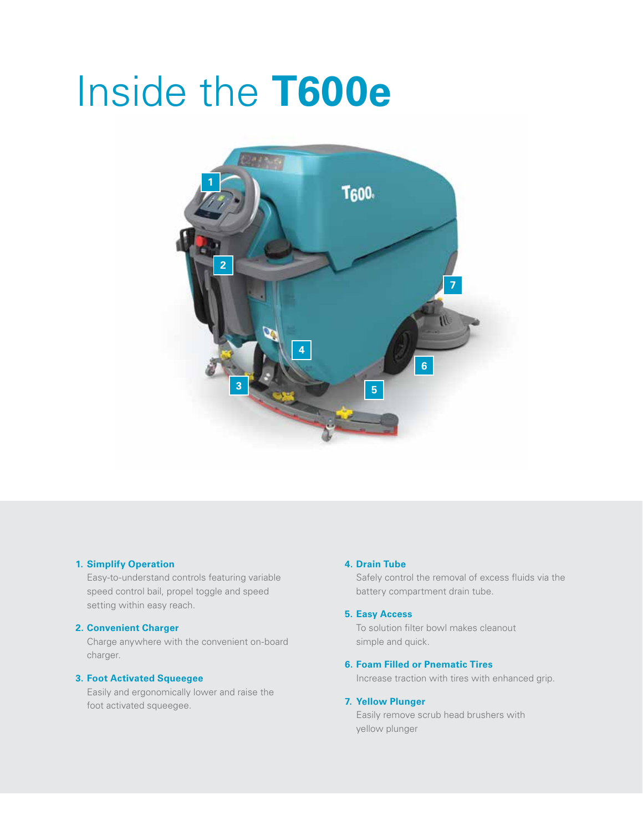# Inside the **T600e**



#### **1. Simplify Operation**

Easy-to-understand controls featuring variable speed control bail, propel toggle and speed setting within easy reach.

#### **2. Convenient Charger**

Charge anywhere with the convenient on-board charger.

#### **3. Foot Activated Squeegee**

Easily and ergonomically lower and raise the foot activated squeegee.

#### **4. Drain Tube**

Safely control the removal of excess fluids via the battery compartment drain tube.

#### **5. Easy Access**

To solution filter bowl makes cleanout simple and quick.

#### **6. Foam Filled or Pnematic Tires**

Increase traction with tires with enhanced grip.

#### **7. Yellow Plunger**

Easily remove scrub head brushers with yellow plunger